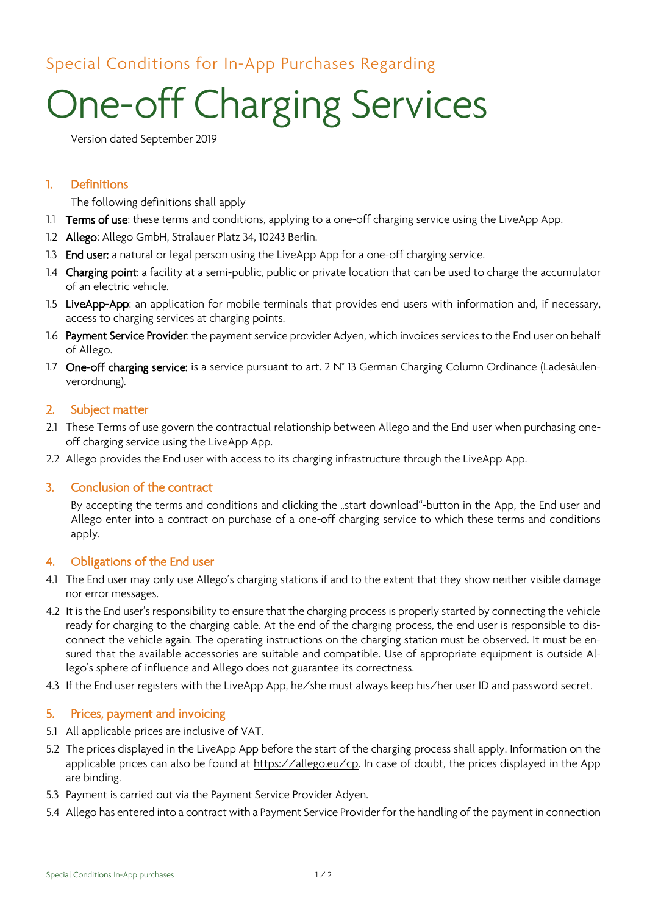# Special Conditions for In-App Purchases Regarding

# One-off Charging Services

Version dated September 2019

# 1. Definitions

The following definitions shall apply

- 1.1 Terms of use: these terms and conditions, applying to a one-off charging service using the LiveApp App.
- 1.2 Allego: Allego GmbH, Stralauer Platz 34, 10243 Berlin.
- 1.3 End user: a natural or legal person using the LiveApp App for a one-off charging service.
- 1.4 Charging point: a facility at a semi-public, public or private location that can be used to charge the accumulator of an electric vehicle.
- 1.5 LiveApp-App: an application for mobile terminals that provides end users with information and, if necessary, access to charging services at charging points.
- 1.6 Payment Service Provider: the payment service provider Adyen, which invoices services to the End user on behalf of Allego.
- 1.7 One-off charging service: is a service pursuant to art. 2 N° 13 German Charging Column Ordinance (Ladesäulenverordnung).

#### 2. Subject matter

- 2.1 These Terms of use govern the contractual relationship between Allego and the End user when purchasing oneoff charging service using the LiveApp App.
- 2.2 Allego provides the End user with access to its charging infrastructure through the LiveApp App.

#### 3. Conclusion of the contract

By accepting the terms and conditions and clicking the "start download"-button in the App, the End user and Allego enter into a contract on purchase of a one-off charging service to which these terms and conditions apply.

#### 4. Obligations of the End user

- 4.1 The End user may only use Allego's charging stations if and to the extent that they show neither visible damage nor error messages.
- 4.2 It is the End user's responsibility to ensure that the charging process is properly started by connecting the vehicle ready for charging to the charging cable. At the end of the charging process, the end user is responsible to disconnect the vehicle again. The operating instructions on the charging station must be observed. It must be ensured that the available accessories are suitable and compatible. Use of appropriate equipment is outside Allego's sphere of influence and Allego does not guarantee its correctness.
- 4.3 If the End user registers with the LiveApp App, he/she must always keep his/her user ID and password secret.

#### 5. Prices, payment and invoicing

- 5.1 All applicable prices are inclusive of VAT.
- 5.2 The prices displayed in the LiveApp App before the start of the charging process shall apply. Information on the applicable prices can also be found at [https://allego.eu/cp.](https://allego.eu/cp) In case of doubt, the prices displayed in the App are binding.
- 5.3 Payment is carried out via the Payment Service Provider Adyen.
- 5.4 Allego has entered into a contract with a Payment Service Provider for the handling of the payment in connection